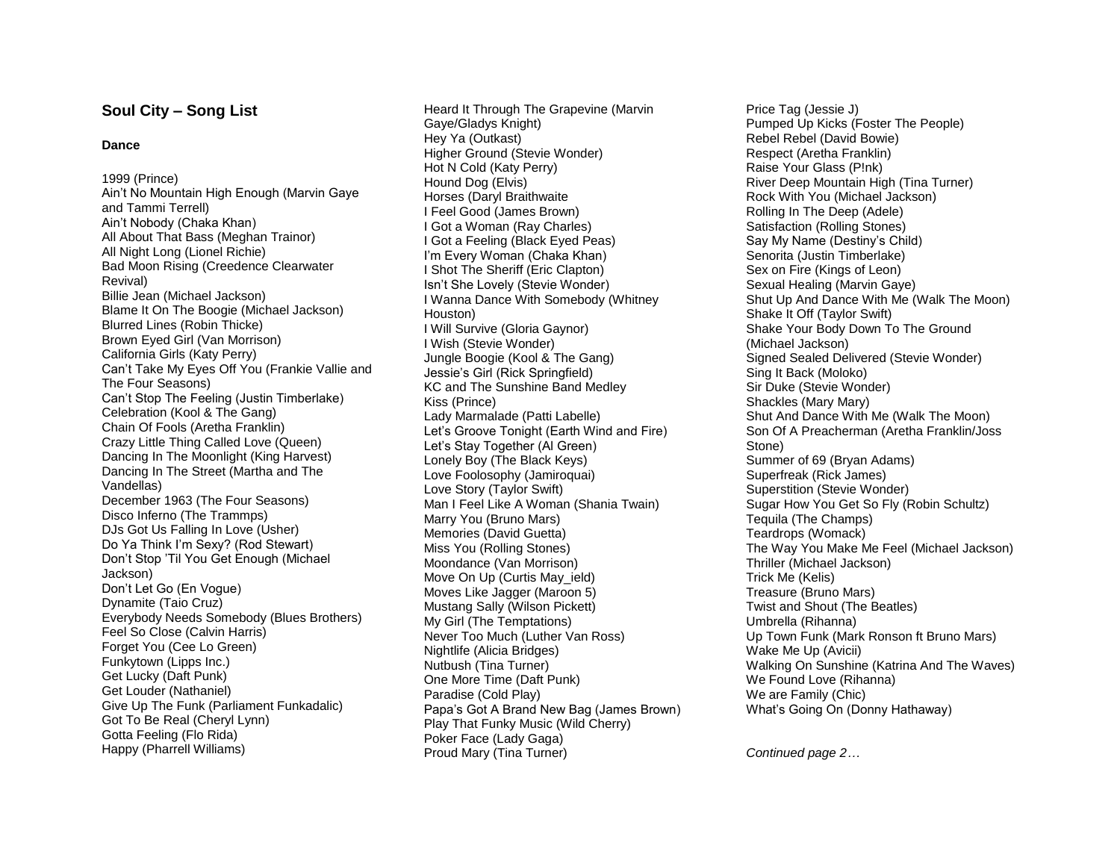## **Soul City – Song List**

## **Dance**

1999 (Prince) Ain't No Mountain High Enough (Marvin Gaye and Tammi Terrell) Ain't Nobody (Chaka Khan) All About That Bass (Meghan Trainor) All Night Long (Lionel Richie) Bad Moon Rising (Creedence Clearwater Revival) Billie Jean (Michael Jackson) Blame It On The Boogie (Michael Jackson) Blurred Lines (Robin Thicke) Brown Eyed Girl (Van Morrison) California Girls (Katy Perry) Can't Take My Eyes Off You (Frankie Vallie and The Four Seasons) Can't Stop The Feeling (Justin Timberlake) Celebration (Kool & The Gang) Chain Of Fools (Aretha Franklin) Crazy Little Thing Called Love (Queen) Dancing In The Moonlight (King Harvest) Dancing In The Street (Martha and The Vandellas) December 1963 (The Four Seasons) Disco Inferno (The Trammps) DJs Got Us Falling In Love (Usher) Do Ya Think I'm Sexy? (Rod Stewart) Don't Stop 'Til You Get Enough (Michael Jackson) Don't Let Go (En Vogue) Dynamite (Taio Cruz) Everybody Needs Somebody (Blues Brothers) Feel So Close (Calvin Harris) Forget You (Cee Lo Green) Funkytown (Lipps Inc.) Get Lucky (Daft Punk) Get Louder (Nathaniel) Give Up The Funk (Parliament Funkadalic) Got To Be Real (Cheryl Lynn) Gotta Feeling (Flo Rida) Happy (Pharrell Williams)

Heard It Through The Grapevine (Marvin Gaye/Gladys Knight) Hey Ya (Outkast) Higher Ground (Stevie Wonder) Hot N Cold (Katy Perry) Hound Dog (Elvis) Horses (Daryl Braithwaite I Feel Good (James Brown) I Got a Woman (Ray Charles) I Got a Feeling (Black Eyed Peas) I'm Every Woman (Chaka Khan) I Shot The Sheriff (Eric Clapton) Isn't She Lovely (Stevie Wonder) I Wanna Dance With Somebody (Whitney Houston) I Will Survive (Gloria Gaynor) I Wish (Stevie Wonder) Jungle Boogie (Kool & The Gang) Jessie's Girl (Rick Springfield) KC and The Sunshine Band Medley Kiss (Prince) Lady Marmalade (Patti Labelle) Let's Groove Tonight (Earth Wind and Fire) Let's Stay Together (Al Green) Lonely Boy (The Black Keys) Love Foolosophy (Jamiroquai) Love Story (Taylor Swift) Man I Feel Like A Woman (Shania Twain) Marry You (Bruno Mars) Memories (David Guetta) Miss You (Rolling Stones) Moondance (Van Morrison) Move On Up (Curtis May\_ield) Moves Like Jagger (Maroon 5) Mustang Sally (Wilson Pickett) My Girl (The Temptations) Never Too Much (Luther Van Ross) Nightlife (Alicia Bridges) Nutbush (Tina Turner) One More Time (Daft Punk) Paradise (Cold Play) Papa's Got A Brand New Bag (James Brown) Play That Funky Music (Wild Cherry) Poker Face (Lady Gaga) Proud Mary (Tina Turner)

Price Tag (Jessie J) Pumped Up Kicks (Foster The People) Rebel Rebel (David Bowie) Respect (Aretha Franklin) Raise Your Glass (P!nk) River Deep Mountain High (Tina Turner) Rock With You (Michael Jackson) Rolling In The Deep (Adele) Satisfaction (Rolling Stones) Say My Name (Destiny's Child) Senorita (Justin Timberlake) Sex on Fire (Kings of Leon) Sexual Healing (Marvin Gaye) Shut Up And Dance With Me (Walk The Moon) Shake It Off (Taylor Swift) Shake Your Body Down To The Ground (Michael Jackson) Signed Sealed Delivered (Stevie Wonder) Sing It Back (Moloko) Sir Duke (Stevie Wonder) Shackles (Mary Mary) Shut And Dance With Me (Walk The Moon) Son Of A Preacherman (Aretha Franklin/Joss Stone) Summer of 69 (Bryan Adams) Superfreak (Rick James) Superstition (Stevie Wonder) Sugar How You Get So Fly (Robin Schultz) Tequila (The Champs) Teardrops (Womack) The Way You Make Me Feel (Michael Jackson) Thriller (Michael Jackson) Trick Me (Kelis) Treasure (Bruno Mars) Twist and Shout (The Beatles) Umbrella (Rihanna) Up Town Funk (Mark Ronson ft Bruno Mars) Wake Me Up (Avicii) Walking On Sunshine (Katrina And The Waves) We Found Love (Rihanna) We are Family (Chic) What's Going On (Donny Hathaway)

*Continued page 2…*